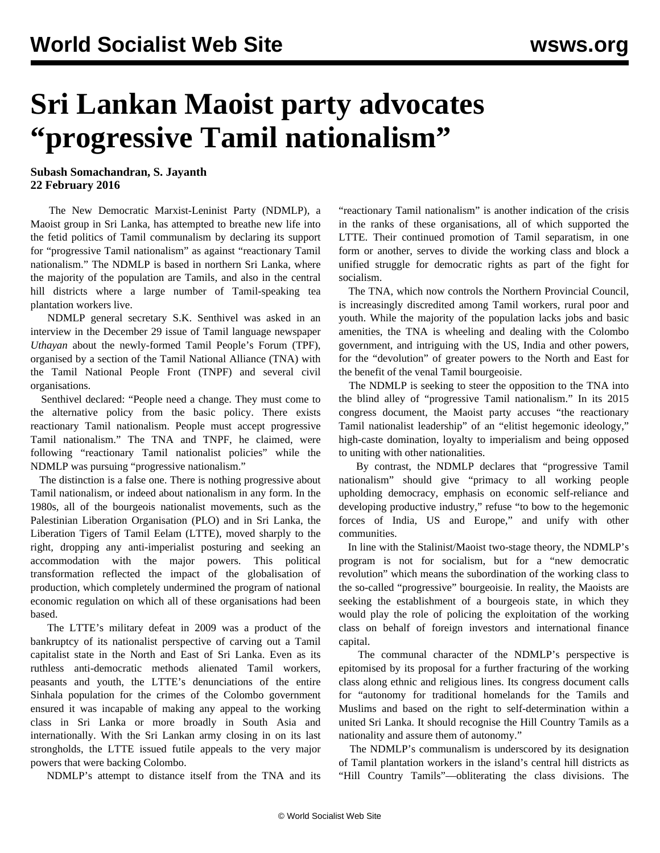## **Sri Lankan Maoist party advocates "progressive Tamil nationalism"**

## **Subash Somachandran, S. Jayanth 22 February 2016**

 The New Democratic Marxist-Leninist Party (NDMLP), a Maoist group in Sri Lanka, has attempted to breathe new life into the fetid politics of Tamil communalism by declaring its support for "progressive Tamil nationalism" as against "reactionary Tamil nationalism." The NDMLP is based in northern Sri Lanka, where the majority of the population are Tamils, and also in the central hill districts where a large number of Tamil-speaking tea plantation workers live.

 NDMLP general secretary S.K. Senthivel was asked in an interview in the December 29 issue of Tamil language newspaper *Uthayan* about the newly-formed [Tamil People's Forum](/en/articles/2015/12/29/tami-d29.html) (TPF), organised by a section of the Tamil National Alliance (TNA) with the Tamil National People Front (TNPF) and several civil organisations.

 Senthivel declared: "People need a change. They must come to the alternative policy from the basic policy. There exists reactionary Tamil nationalism. People must accept progressive Tamil nationalism." The TNA and TNPF, he claimed, were following "reactionary Tamil nationalist policies" while the NDMLP was pursuing "progressive nationalism."

 The distinction is a false one. There is nothing progressive about Tamil nationalism, or indeed about nationalism in any form. In the 1980s, all of the bourgeois nationalist movements, such as the Palestinian Liberation Organisation (PLO) and in Sri Lanka, the Liberation Tigers of Tamil Eelam (LTTE), moved sharply to the right, dropping any anti-imperialist posturing and seeking an accommodation with the major powers. This political transformation reflected the impact of the globalisation of production, which completely undermined the program of national economic regulation on which all of these organisations had been based.

 The LTTE's military defeat in 2009 was a product of the bankruptcy of its nationalist perspective of carving out a Tamil capitalist state in the North and East of Sri Lanka. Even as its ruthless anti-democratic methods alienated Tamil workers, peasants and youth, the LTTE's denunciations of the entire Sinhala population for the crimes of the Colombo government ensured it was incapable of making any appeal to the working class in Sri Lanka or more broadly in South Asia and internationally. With the Sri Lankan army closing in on its last strongholds, the LTTE issued futile appeals to the very major powers that were backing Colombo.

NDMLP's attempt to distance itself from the TNA and its

"reactionary Tamil nationalism" is another indication of the crisis in the ranks of these organisations, all of which supported the LTTE. Their continued promotion of Tamil separatism, in one form or another, serves to divide the working class and block a unified struggle for democratic rights as part of the fight for socialism.

 The TNA, which now controls the Northern Provincial Council, is increasingly discredited among Tamil workers, rural poor and youth. While the majority of the population lacks jobs and basic amenities, the TNA is wheeling and dealing with the Colombo government, and intriguing with the US, India and other powers, for the "devolution" of greater powers to the North and East for the benefit of the venal Tamil bourgeoisie.

 The NDMLP is seeking to steer the opposition to the TNA into the blind alley of "progressive Tamil nationalism." In its 2015 congress document, the Maoist party accuses "the reactionary Tamil nationalist leadership" of an "elitist hegemonic ideology," high-caste domination, loyalty to imperialism and being opposed to uniting with other nationalities.

 By contrast, the NDMLP declares that "progressive Tamil nationalism" should give "primacy to all working people upholding democracy, emphasis on economic self-reliance and developing productive industry," refuse "to bow to the hegemonic forces of India, US and Europe," and unify with other communities.

 In line with the Stalinist/Maoist two-stage theory, the NDMLP's program is not for socialism, but for a "new democratic revolution" which means the subordination of the working class to the so-called "progressive" bourgeoisie. In reality, the Maoists are seeking the establishment of a bourgeois state, in which they would play the role of policing the exploitation of the working class on behalf of foreign investors and international finance capital.

 The communal character of the NDMLP's perspective is epitomised by its proposal for a further fracturing of the working class along ethnic and religious lines. Its congress document calls for "autonomy for traditional homelands for the Tamils and Muslims and based on the right to self-determination within a united Sri Lanka. It should recognise the Hill Country Tamils as a nationality and assure them of autonomy."

 The NDMLP's communalism is underscored by its designation of Tamil plantation workers in the island's central hill districts as "Hill Country Tamils"—obliterating the class divisions. The